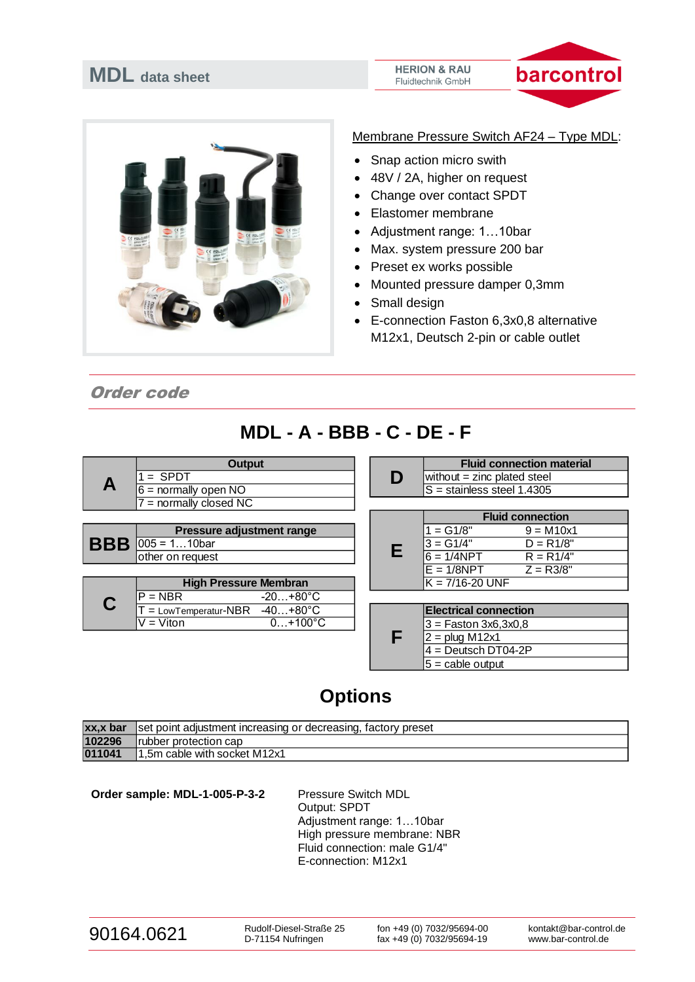#### **HERION & RAU** Fluidtechnik GmbH





### Membrane Pressure Switch AF24 – Type MDL:

- Snap action micro swith
- 48V / 2A, higher on request
- Change over contact SPDT
- Elastomer membrane
- Adjustment range: 1…10bar
- Max. system pressure 200 bar
- Preset ex works possible
- Mounted pressure damper 0,3mm
- Small design
- E-connection Faston 6,3x0,8 alternative M12x1, Deutsch 2-pin or cable outlet

Order code

## **MDL - A - BBB - C - DE - F**

|            | <b>Output</b>                              |   | <b>Fluid connection material</b> |
|------------|--------------------------------------------|---|----------------------------------|
| A          | $=$ SPDT                                   | D | without $=$ zinc plated steel    |
|            | $6 =$ normally open NO                     |   | $S =$ stainless steel 1.4305     |
|            | $7 =$ normally closed NC                   |   |                                  |
|            |                                            |   | <b>Fluid connection</b>          |
|            | <b>Pressure adjustment range</b>           |   | $1 = G1/8"$<br>$9 = M10x1$       |
| <b>BBB</b> | $ 005 = 110$ bar                           |   | $3 = G1/4"$<br>$D = R1/8"$       |
|            | other on request                           | Е | $6 = 1/4$ NPT<br>$R = R1/4"$     |
|            |                                            |   | $E = 1/8$ NPT<br>$Z = R3/8"$     |
|            | <b>High Pressure Membran</b>               |   | $K = 7/16 - 20$ UNF              |
|            | $P = NBR$<br>$-20+80^{\circ}$ C            |   |                                  |
|            | $=$ LowTemperatur-NBR<br>$-40+80^{\circ}C$ |   | <b>Electrical connection</b>     |
|            | $0+100^{\circ}C$<br>$V = V$ iton           |   | $3 =$ Faston 3x6,3x0,8           |
|            |                                            | F | $2 = plug M12x1$                 |
|            |                                            |   | $4 =$ Deutsch DT04-2P            |
|            |                                            |   | $5 =$ cable output               |

# **Options**

| $\overline{xx}$ , x bar | Set point adjustment increasing or decreasing, factory preset |
|-------------------------|---------------------------------------------------------------|
| 102296                  | Irubber protection cap                                        |
| 011041                  | 1,5m cable with socket M12x1                                  |

Order sample: MDL-1-005-P-3-2 Pressure Switch MDL Output: SPDT Adjustment range: 1…10bar High pressure membrane: NBR Fluid connection: male G1/4" E-connection: M12x1

| 90164.0621 |  |
|------------|--|
|            |  |